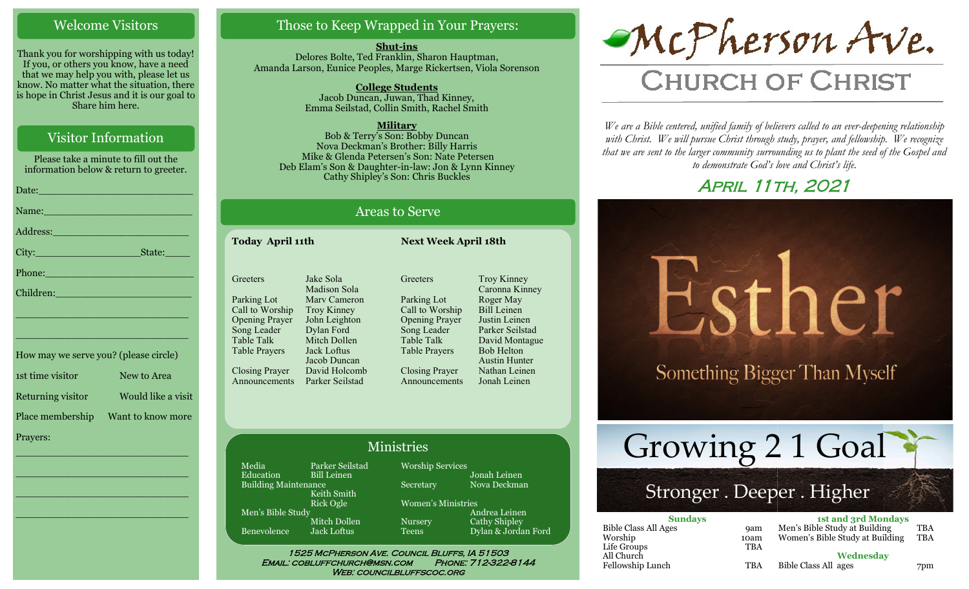#### Welcome Visitors

Thank you for worshipping with us today! If you, or others you know, have a need that we may help you with, please let us know. No matter what the situation, there is hope in Christ Jesus and it is our goal to Share him here.

## Visitor Information

Please take a minute to fill out the information below & return to greeter. Date:\_\_\_\_\_\_\_\_\_\_\_\_\_\_\_\_\_\_\_\_\_\_\_\_\_ Name: Address:\_\_\_\_\_\_\_\_\_\_\_\_\_\_\_\_\_\_\_\_\_\_ City: State: Phone: Children:

How may we serve you? (please circle) 1st time visitor New to Area Returning visitor Would like a visit Place membership Want to know more Prayers:

\_\_\_\_\_\_\_\_\_\_\_\_\_\_\_\_\_\_\_\_\_\_\_\_\_\_\_\_

\_\_\_\_\_\_\_\_\_\_\_\_\_\_\_\_\_\_\_\_\_\_\_\_\_\_\_\_

\_\_\_\_\_\_\_\_\_\_\_\_\_\_\_\_\_\_\_\_\_\_\_\_\_\_\_\_

\_\_\_\_\_\_\_\_\_\_\_\_\_\_\_\_\_\_\_\_\_\_\_\_\_\_\_\_

\_\_\_\_\_\_\_\_\_\_\_\_\_\_\_\_\_\_\_\_\_\_\_\_\_\_\_\_

\_\_\_\_\_\_\_\_\_\_\_\_\_\_\_\_\_\_\_\_\_\_\_\_\_\_\_\_

## Those to Keep Wrapped in Your Prayers:

**Shut-ins** Delores Bolte, Ted Franklin, Sharon Hauptman, Amanda Larson, Eunice Peoples, Marge Rickertsen, Viola Sorenson

> **College Students**  Jacob Duncan, Juwan, Thad Kinney, Emma Seilstad, Collin Smith, Rachel Smith

**Military** Bob & Terry's Son: Bobby Duncan Nova Deckman's Brother: Billy Harris

Mike & Glenda Petersen's Son: Nate Petersen Deb Elam's Son & Daughter-in-law: Jon & Lynn Kinney Cathy Shipley's Son: Chris Buckles

## Areas to Serve

**Today April 11th Next Week April 18th**

**Greeters** Parking Lot Call to Worship Opening Prayer Song Leader Table Talk Table Prayers Closing Prayer Announcements Jake Sola Madison Sola Marv Cameron Troy Kinney John Leighton Dylan Ford Mitch Dollen Jack Loftus Jacob Duncan David Holcomb Parker Seilstad

**Greeters** Parking Lot Call to Worship Opening Prayer Song Leader Table Talk Table Prayers Closing Prayer Announcements

#### Ministries

Media Parker Seilstad<br>Education Bill Leinen Bill Leinen Building Maintenance Keith Smith Rick Ogle Men's Bible Study Mitch Dollen Benevolence Jack Loftus

Worship Services Jonah Leinen Secretary Nova Deckman Women's Ministries

Andrea Leinen Nursery Cathy Shipley Teens Dylan & Jordan Ford

Troy Kinney Caronna Kinney Roger May Bill Leinen Justin Leinen Parker Seilstad David Montague Bob Helton Austin Hunter Nathan Leinen Jonah Leinen

1525 McPherson Ave. Council Bluffs, IA 51503 Email: cobluffchurch@msn.com Phone: 712-322-8144 WEB: COUNCILBLUFFSCOC.ORG

McPherson Ave.

# **CHURCH OF CHRIST**

*We are a Bible centered, unified family of believers called to an ever-deepening relationship*  with Christ. We will pursue Christ through study, prayer, and fellowship. We recognize *that we are sent to the larger community surrounding us to plant the seed of the Gospel and to demonstrate God's love and Christ's life.*

# April 11th, 2021



# Stronger . Deeper . Higher

| <b>Sundays</b>              |            | <b>1st and 3rd Mondays</b>      |            |
|-----------------------------|------------|---------------------------------|------------|
| <b>Bible Class All Ages</b> | <b>9am</b> | Men's Bible Study at Building   | TBA        |
| Worship                     | 10am       | Women's Bible Study at Building | <b>TBA</b> |
| Life Groups                 | <b>TBA</b> |                                 |            |
| All Church                  |            | Wednesday                       |            |
| Fellowship Lunch            | <b>TBA</b> | Bible Class All ages            | 7pm        |